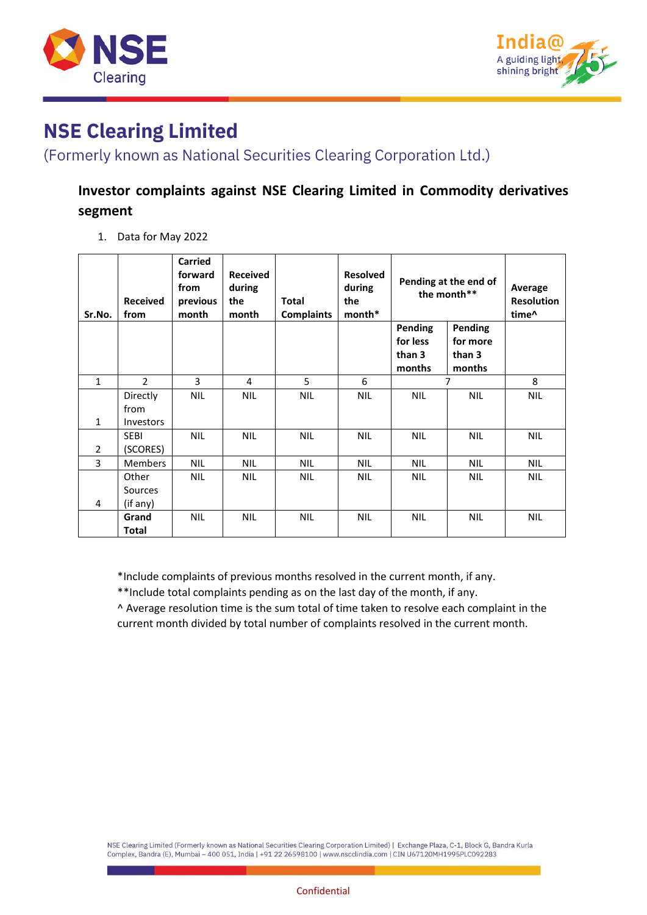



(Formerly known as National Securities Clearing Corporation Ltd.)

### **Investor complaints against NSE Clearing Limited in Commodity derivatives segment**

1. Data for May 2022

| Sr.No.         | <b>Received</b><br>from              | Carried<br>forward<br>from<br>previous<br>month | <b>Received</b><br>during<br>the<br>month | <b>Total</b><br><b>Complaints</b> | <b>Resolved</b><br>during<br>the<br>$month*$ | Pending at the end of<br>the month**           |                                         | Average<br><b>Resolution</b><br>time <sup>^</sup> |
|----------------|--------------------------------------|-------------------------------------------------|-------------------------------------------|-----------------------------------|----------------------------------------------|------------------------------------------------|-----------------------------------------|---------------------------------------------------|
|                |                                      |                                                 |                                           |                                   |                                              | <b>Pending</b><br>for less<br>than 3<br>months | Pending<br>for more<br>than 3<br>months |                                                   |
| $\mathbf{1}$   | $\overline{2}$                       | 3                                               | 4                                         | 5                                 | 6                                            | 7                                              |                                         | 8                                                 |
| $\mathbf{1}$   | Directly<br>from<br><b>Investors</b> | <b>NIL</b>                                      | <b>NIL</b>                                | <b>NIL</b>                        | <b>NIL</b>                                   | <b>NIL</b>                                     | <b>NIL</b>                              | <b>NIL</b>                                        |
| $\overline{2}$ | <b>SEBI</b><br>(SCORES)              | <b>NIL</b>                                      | <b>NIL</b>                                | <b>NIL</b>                        | <b>NIL</b>                                   | <b>NIL</b>                                     | <b>NIL</b>                              | <b>NIL</b>                                        |
| 3              | Members                              | <b>NIL</b>                                      | <b>NIL</b>                                | <b>NIL</b>                        | <b>NIL</b>                                   | <b>NIL</b>                                     | <b>NIL</b>                              | <b>NIL</b>                                        |
| 4              | Other<br>Sources<br>(if any)         | <b>NIL</b>                                      | <b>NIL</b>                                | <b>NIL</b>                        | <b>NIL</b>                                   | <b>NIL</b>                                     | NIL.                                    | <b>NIL</b>                                        |
|                | Grand<br>Total                       | <b>NIL</b>                                      | <b>NIL</b>                                | <b>NIL</b>                        | <b>NIL</b>                                   | <b>NIL</b>                                     | <b>NIL</b>                              | <b>NIL</b>                                        |

\*Include complaints of previous months resolved in the current month, if any.

\*\*Include total complaints pending as on the last day of the month, if any.

^ Average resolution time is the sum total of time taken to resolve each complaint in the current month divided by total number of complaints resolved in the current month.

NSE Clearing Limited (Formerly known as National Securities Clearing Corporation Limited) | Exchange Plaza, C-1, Block G, Bandra Kurla Complex, Bandra (E), Mumbai - 400 051, India | +91 22 26598100 | www.nscclindia.com | CIN U67120MH1995PLC092283

#### Confidential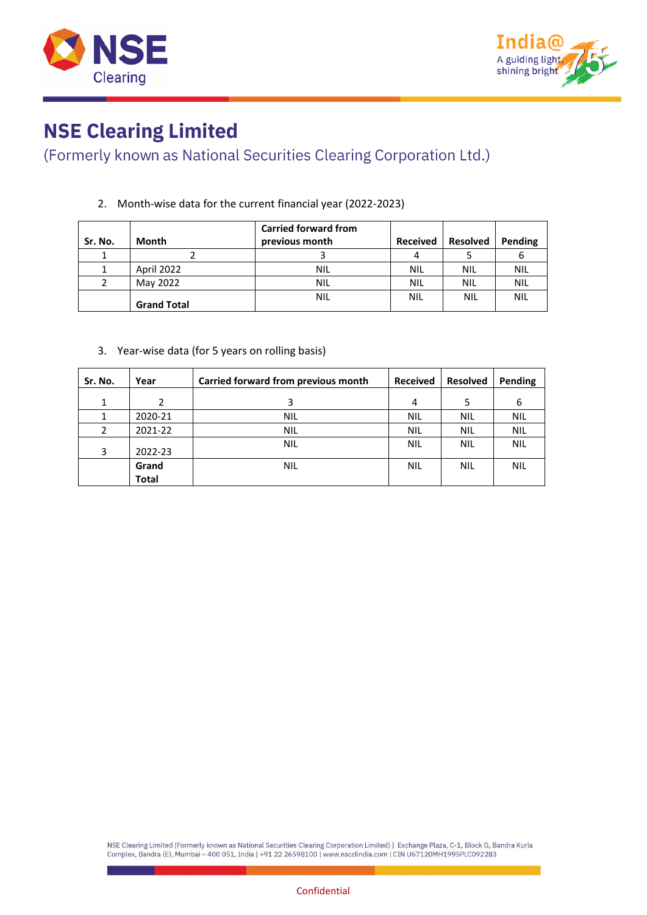



### (Formerly known as National Securities Clearing Corporation Ltd.)

#### 2. Month-wise data for the current financial year (2022-2023)

| Sr. No. | <b>Month</b>       | <b>Carried forward from</b><br>previous month | <b>Received</b> | <b>Resolved</b> | Pending    |
|---------|--------------------|-----------------------------------------------|-----------------|-----------------|------------|
|         |                    |                                               |                 |                 |            |
|         | April 2022         | NIL                                           | <b>NIL</b>      | <b>NIL</b>      | NIL        |
|         | May 2022           | NIL                                           | NIL             | <b>NIL</b>      | NIL        |
|         | <b>Grand Total</b> | <b>NIL</b>                                    | NIL             | <b>NIL</b>      | <b>NIL</b> |

#### 3. Year-wise data (for 5 years on rolling basis)

| Sr. No. | Year    | Carried forward from previous month | <b>Received</b> | <b>Resolved</b> | Pending    |
|---------|---------|-------------------------------------|-----------------|-----------------|------------|
| 1       |         | 3                                   | 4               | 5               | 6          |
| 1       | 2020-21 | <b>NIL</b>                          | <b>NIL</b>      | <b>NIL</b>      | <b>NIL</b> |
| 2       | 2021-22 | <b>NIL</b>                          | <b>NIL</b>      | <b>NIL</b>      | <b>NIL</b> |
| 3       | 2022-23 | <b>NIL</b>                          | <b>NIL</b>      | <b>NIL</b>      | <b>NIL</b> |
|         | Grand   | <b>NIL</b>                          | <b>NIL</b>      | <b>NIL</b>      | <b>NIL</b> |
|         | Total   |                                     |                 |                 |            |

NSE Clearing Limited (Formerly known as National Securities Clearing Corporation Limited) | Exchange Plaza, C-1, Block G, Bandra Kurla Complex, Bandra (E), Mumbai - 400 051, India | +91 22 26598100 | www.nscclindia.com | CIN U67120MH1995PLC092283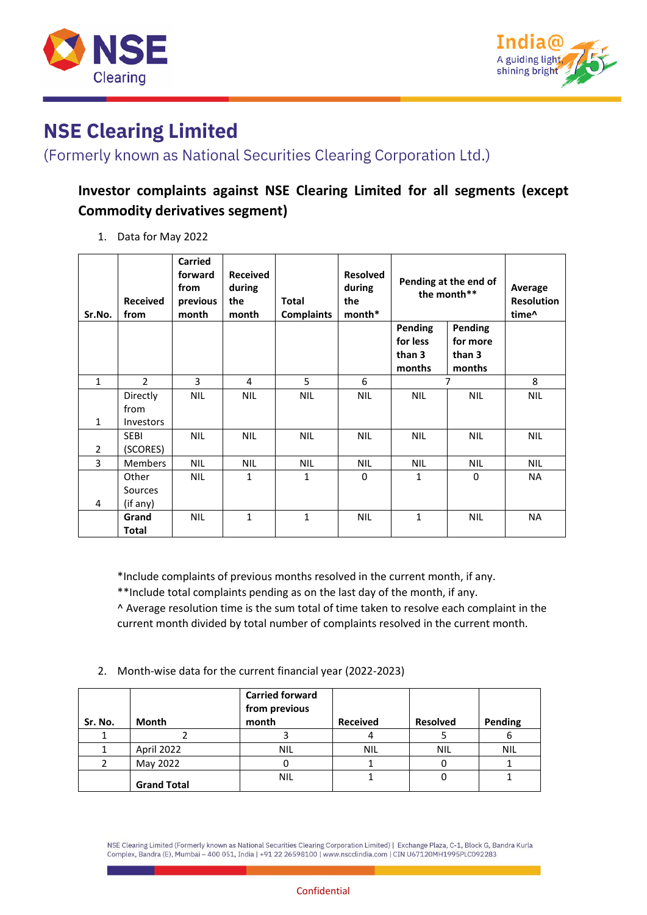



(Formerly known as National Securities Clearing Corporation Ltd.)

### **Investor complaints against NSE Clearing Limited for all segments (except Commodity derivatives segment)**

1. Data for May 2022

| Sr.No.         | <b>Received</b><br>from              | Carried<br>forward<br>from<br>previous<br>month | <b>Received</b><br>during<br>the<br>month | <b>Total</b><br><b>Complaints</b> | <b>Resolved</b><br>during<br>the<br>month* | Pending at the end of<br>the month**           |                                         | Average<br><b>Resolution</b><br>time <sup>^</sup> |
|----------------|--------------------------------------|-------------------------------------------------|-------------------------------------------|-----------------------------------|--------------------------------------------|------------------------------------------------|-----------------------------------------|---------------------------------------------------|
|                |                                      |                                                 |                                           |                                   |                                            | <b>Pending</b><br>for less<br>than 3<br>months | Pending<br>for more<br>than 3<br>months |                                                   |
| $\mathbf{1}$   | $\overline{2}$                       | 3                                               | 4                                         | 5                                 | 6                                          | $\overline{7}$                                 |                                         | 8                                                 |
| $\mathbf{1}$   | Directly<br>from<br><b>Investors</b> | <b>NIL</b>                                      | <b>NIL</b>                                | <b>NIL</b>                        | <b>NIL</b>                                 | <b>NIL</b>                                     | <b>NIL</b>                              | <b>NIL</b>                                        |
| $\overline{2}$ | <b>SEBI</b><br>(SCORES)              | <b>NIL</b>                                      | <b>NIL</b>                                | <b>NIL</b>                        | <b>NIL</b>                                 | <b>NIL</b>                                     | <b>NIL</b>                              | <b>NIL</b>                                        |
| 3              | <b>Members</b>                       | <b>NIL</b>                                      | <b>NIL</b>                                | <b>NIL</b>                        | <b>NIL</b>                                 | <b>NIL</b>                                     | NIL.                                    | <b>NIL</b>                                        |
| 4              | Other<br>Sources<br>(if any)         | <b>NIL</b>                                      | 1                                         | $\mathbf{1}$                      | 0                                          | 1                                              | 0                                       | <b>NA</b>                                         |
|                | Grand<br><b>Total</b>                | <b>NIL</b>                                      | 1                                         | $\mathbf{1}$                      | <b>NIL</b>                                 | 1                                              | <b>NIL</b>                              | NA                                                |

\*Include complaints of previous months resolved in the current month, if any.

\*\*Include total complaints pending as on the last day of the month, if any.

^ Average resolution time is the sum total of time taken to resolve each complaint in the current month divided by total number of complaints resolved in the current month.

2. Month-wise data for the current financial year (2022-2023)

| Sr. No. | <b>Month</b>       | <b>Carried forward</b><br>from previous<br>month | <b>Received</b> | <b>Resolved</b> | Pending    |
|---------|--------------------|--------------------------------------------------|-----------------|-----------------|------------|
|         |                    |                                                  |                 |                 |            |
|         | April 2022         | <b>NIL</b>                                       | <b>NIL</b>      | <b>NIL</b>      | <b>NIL</b> |
|         | May 2022           |                                                  |                 |                 |            |
|         | <b>Grand Total</b> | <b>NIL</b>                                       |                 |                 |            |

NSE Clearing Limited (Formerly known as National Securities Clearing Corporation Limited) | Exchange Plaza, C-1, Block G, Bandra Kurla Complex, Bandra (E), Mumbai - 400 051, India | +91 22 26598100 | www.nscclindia.com | CIN U67120MH1995PLC092283